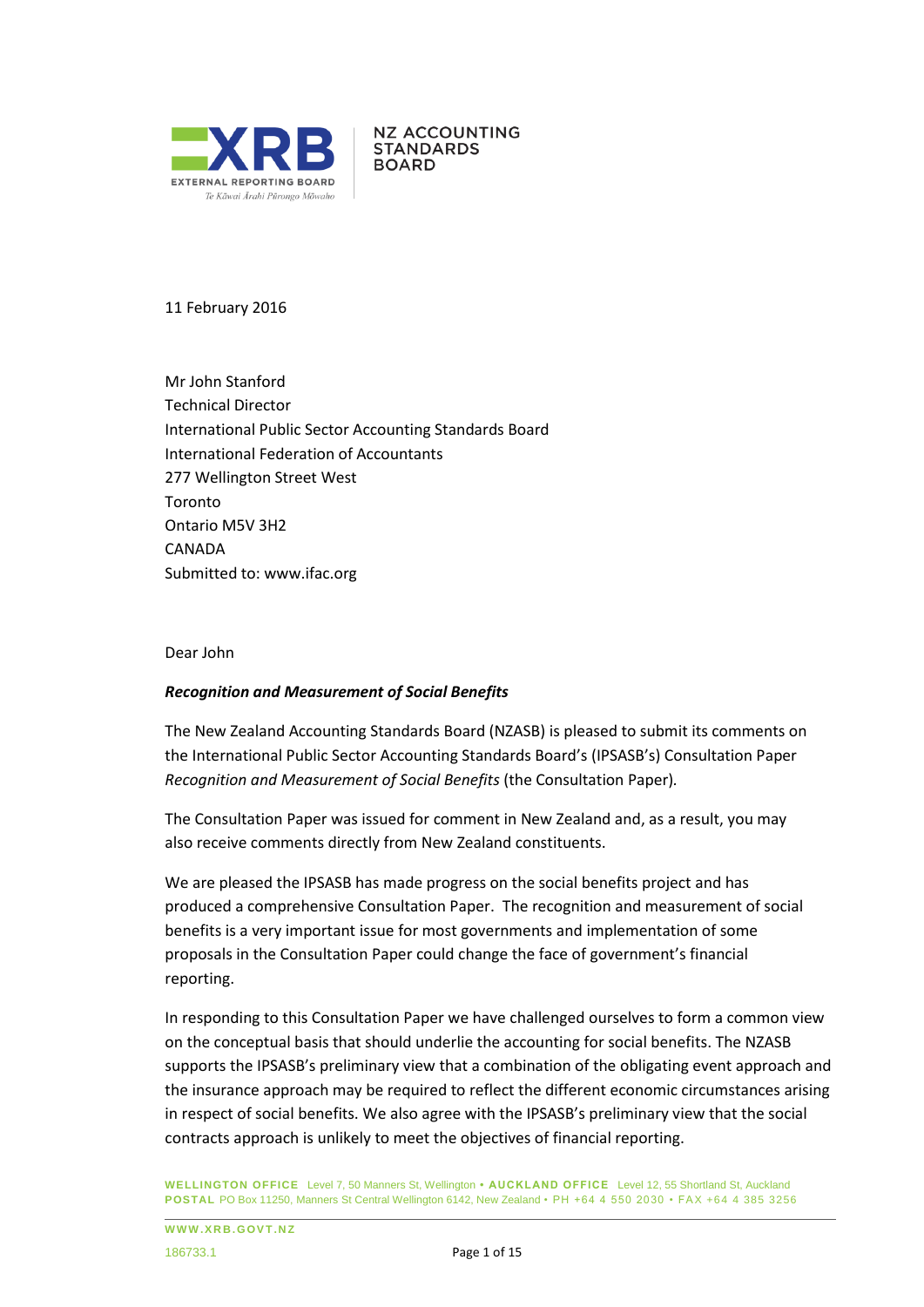

**NZ ACCOUNTING STANDARDS BOARD** 

11 February 2016

Mr John Stanford Technical Director International Public Sector Accounting Standards Board International Federation of Accountants 277 Wellington Street West Toronto Ontario M5V 3H2 CANADA Submitted to: [www.ifac.org](http://www.ifac.org/)

Dear John

### *Recognition and Measurement of Social Benefits*

The New Zealand Accounting Standards Board (NZASB) is pleased to submit its comments on the International Public Sector Accounting Standards Board's (IPSASB's) Consultation Paper *Recognition and Measurement of Social Benefits* (the Consultation Paper)*.*

The Consultation Paper was issued for comment in New Zealand and, as a result, you may also receive comments directly from New Zealand constituents.

We are pleased the IPSASB has made progress on the social benefits project and has produced a comprehensive Consultation Paper. The recognition and measurement of social benefits is a very important issue for most governments and implementation of some proposals in the Consultation Paper could change the face of government's financial reporting.

In responding to this Consultation Paper we have challenged ourselves to form a common view on the conceptual basis that should underlie the accounting for social benefits. The NZASB supports the IPSASB's preliminary view that a combination of the obligating event approach and the insurance approach may be required to reflect the different economic circumstances arising in respect of social benefits. We also agree with the IPSASB's preliminary view that the social contracts approach is unlikely to meet the objectives of financial reporting.

**WELLINGTON OFFICE** Level 7, 50 Manners St, Wellington **• AUCKLAND OFFICE** Level 12, 55 Shortland St, Auckland **POSTAL** PO Box 11250, Manners St Central Wellington 6142, New Zealand • PH +64 4 550 2030 • FAX +64 4 385 3256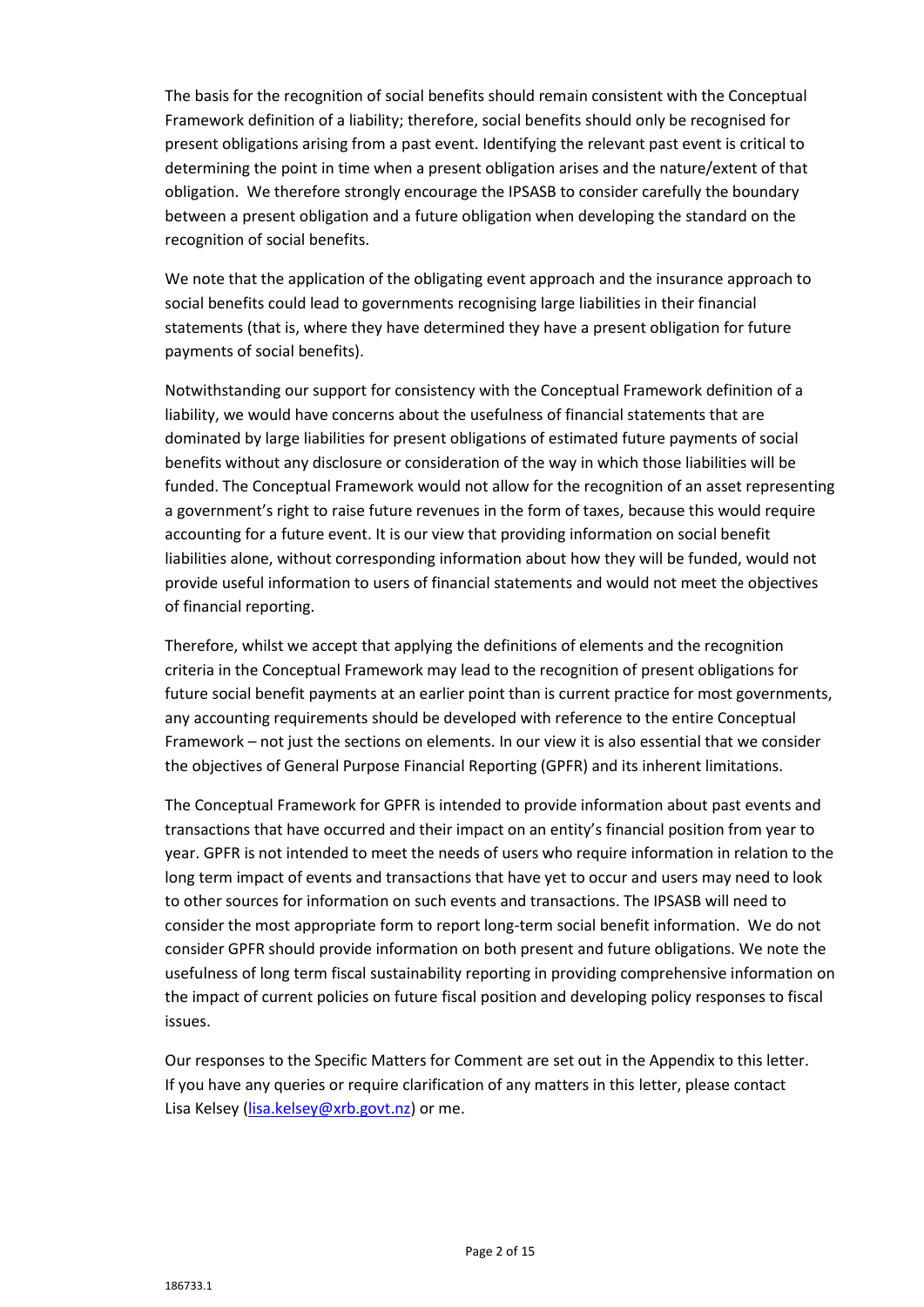The basis for the recognition of social benefits should remain consistent with the Conceptual Framework definition of a liability; therefore, social benefits should only be recognised for present obligations arising from a past event. Identifying the relevant past event is critical to determining the point in time when a present obligation arises and the nature/extent of that obligation. We therefore strongly encourage the IPSASB to consider carefully the boundary between a present obligation and a future obligation when developing the standard on the recognition of social benefits.

We note that the application of the obligating event approach and the insurance approach to social benefits could lead to governments recognising large liabilities in their financial statements (that is, where they have determined they have a present obligation for future payments of social benefits).

Notwithstanding our support for consistency with the Conceptual Framework definition of a liability, we would have concerns about the usefulness of financial statements that are dominated by large liabilities for present obligations of estimated future payments of social benefits without any disclosure or consideration of the way in which those liabilities will be funded. The Conceptual Framework would not allow for the recognition of an asset representing a government's right to raise future revenues in the form of taxes, because this would require accounting for a future event. It is our view that providing information on social benefit liabilities alone, without corresponding information about how they will be funded, would not provide useful information to users of financial statements and would not meet the objectives of financial reporting.

Therefore, whilst we accept that applying the definitions of elements and the recognition criteria in the Conceptual Framework may lead to the recognition of present obligations for future social benefit payments at an earlier point than is current practice for most governments, any accounting requirements should be developed with reference to the entire Conceptual Framework – not just the sections on elements. In our view it is also essential that we consider the objectives of General Purpose Financial Reporting (GPFR) and its inherent limitations.

The Conceptual Framework for GPFR is intended to provide information about past events and transactions that have occurred and their impact on an entity's financial position from year to year. GPFR is not intended to meet the needs of users who require information in relation to the long term impact of events and transactions that have yet to occur and users may need to look to other sources for information on such events and transactions. The IPSASB will need to consider the most appropriate form to report long-term social benefit information. We do not consider GPFR should provide information on both present and future obligations. We note the usefulness of long term fiscal sustainability reporting in providing comprehensive information on the impact of current policies on future fiscal position and developing policy responses to fiscal issues.

Our responses to the Specific Matters for Comment are set out in the Appendix to this letter. If you have any queries or require clarification of any matters in this letter, please contact Lisa Kelsey [\(lisa.kelsey@xrb.govt.nz\)](mailto:lisa.kelsey@xrb.govt.nz) or me.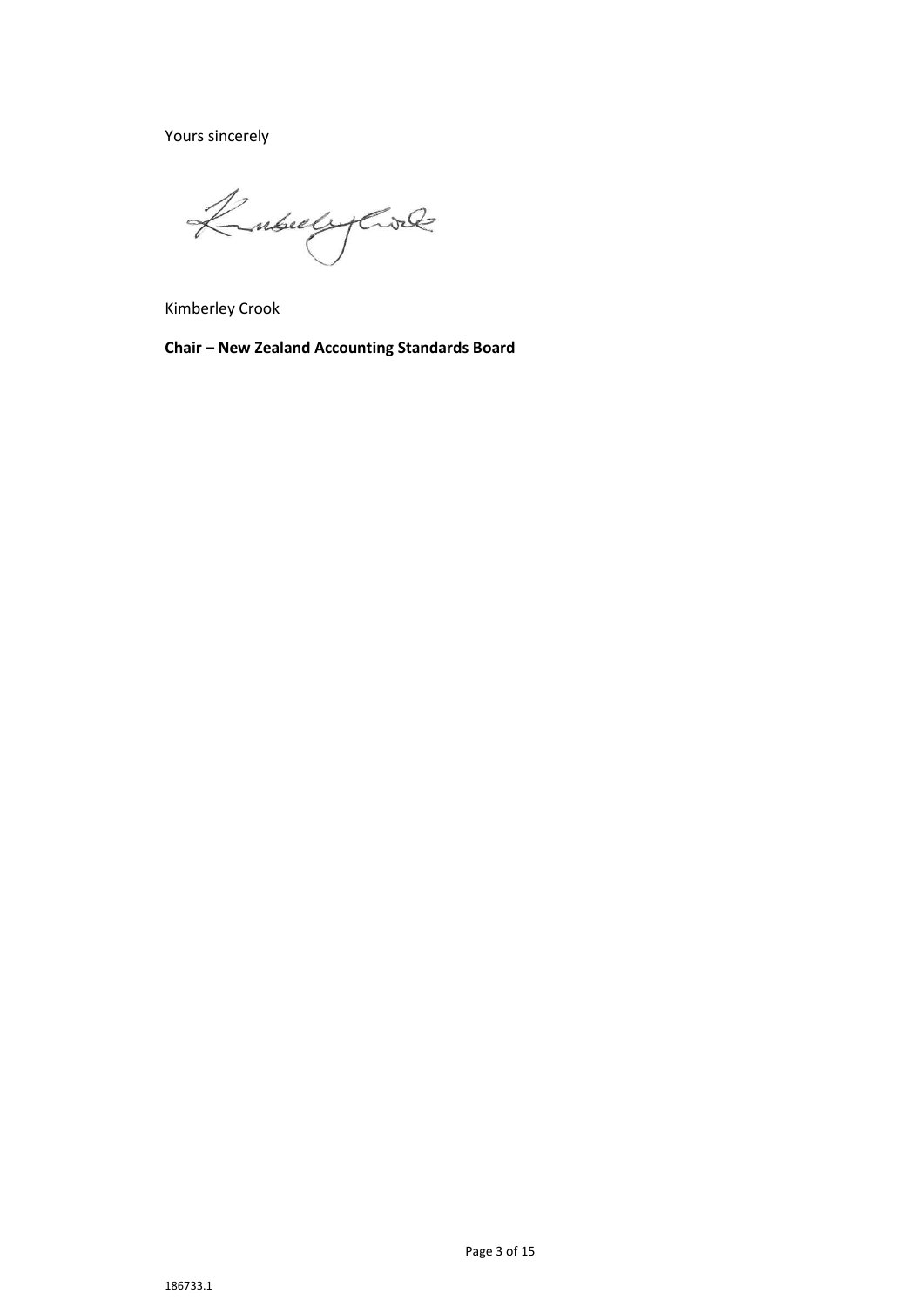Yours sincerely

KubulyCole

Kimberley Crook

**Chair – New Zealand Accounting Standards Board**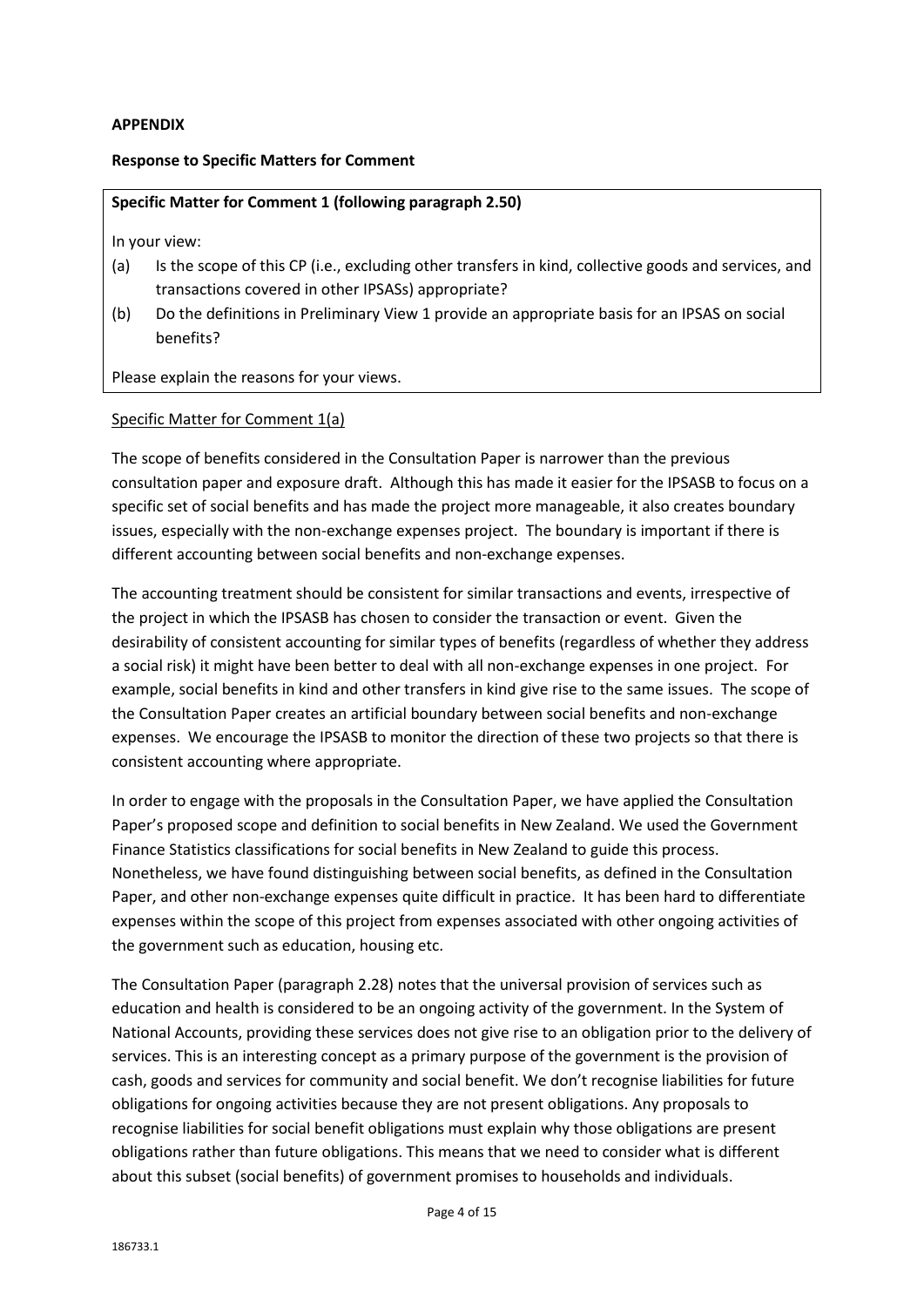## **APPENDIX**

### **Response to Specific Matters for Comment**

### **Specific Matter for Comment 1 (following paragraph 2.50)**

In your view:

- (a) Is the scope of this CP (i.e., excluding other transfers in kind, collective goods and services, and transactions covered in other IPSASs) appropriate?
- (b) Do the definitions in Preliminary View 1 provide an appropriate basis for an IPSAS on social benefits?

Please explain the reasons for your views.

### Specific Matter for Comment 1(a)

The scope of benefits considered in the Consultation Paper is narrower than the previous consultation paper and exposure draft. Although this has made it easier for the IPSASB to focus on a specific set of social benefits and has made the project more manageable, it also creates boundary issues, especially with the non-exchange expenses project. The boundary is important if there is different accounting between social benefits and non-exchange expenses.

The accounting treatment should be consistent for similar transactions and events, irrespective of the project in which the IPSASB has chosen to consider the transaction or event. Given the desirability of consistent accounting for similar types of benefits (regardless of whether they address a social risk) it might have been better to deal with all non-exchange expenses in one project. For example, social benefits in kind and other transfers in kind give rise to the same issues. The scope of the Consultation Paper creates an artificial boundary between social benefits and non-exchange expenses. We encourage the IPSASB to monitor the direction of these two projects so that there is consistent accounting where appropriate.

In order to engage with the proposals in the Consultation Paper, we have applied the Consultation Paper's proposed scope and definition to social benefits in New Zealand. We used the Government Finance Statistics classifications for social benefits in New Zealand to guide this process. Nonetheless, we have found distinguishing between social benefits, as defined in the Consultation Paper, and other non-exchange expenses quite difficult in practice. It has been hard to differentiate expenses within the scope of this project from expenses associated with other ongoing activities of the government such as education, housing etc.

The Consultation Paper (paragraph 2.28) notes that the universal provision of services such as education and health is considered to be an ongoing activity of the government. In the System of National Accounts, providing these services does not give rise to an obligation prior to the delivery of services. This is an interesting concept as a primary purpose of the government is the provision of cash, goods and services for community and social benefit. We don't recognise liabilities for future obligations for ongoing activities because they are not present obligations. Any proposals to recognise liabilities for social benefit obligations must explain why those obligations are present obligations rather than future obligations. This means that we need to consider what is different about this subset (social benefits) of government promises to households and individuals.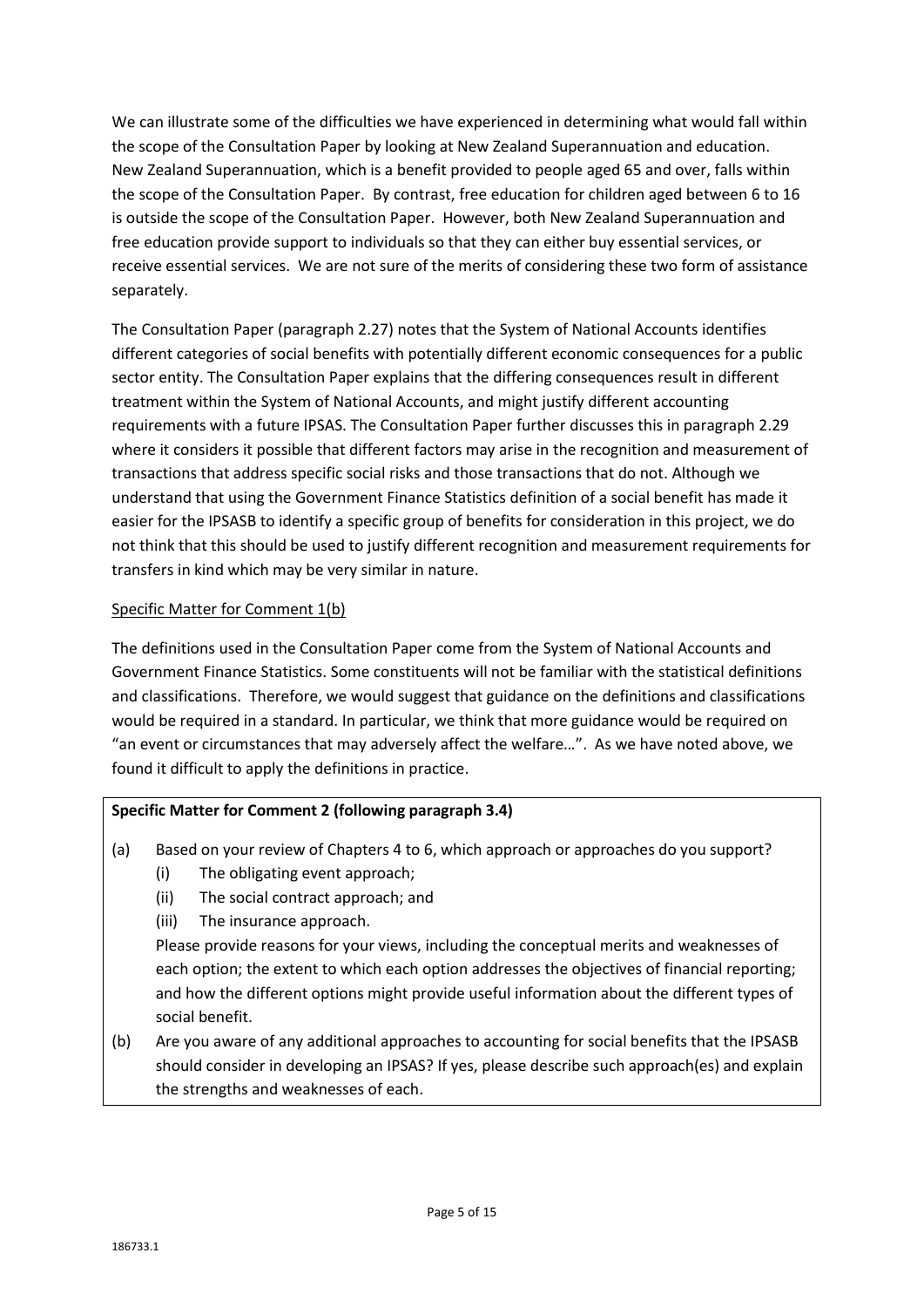We can illustrate some of the difficulties we have experienced in determining what would fall within the scope of the Consultation Paper by looking at New Zealand Superannuation and education. New Zealand Superannuation, which is a benefit provided to people aged 65 and over, falls within the scope of the Consultation Paper. By contrast, free education for children aged between 6 to 16 is outside the scope of the Consultation Paper. However, both New Zealand Superannuation and free education provide support to individuals so that they can either buy essential services, or receive essential services. We are not sure of the merits of considering these two form of assistance separately.

The Consultation Paper (paragraph 2.27) notes that the System of National Accounts identifies different categories of social benefits with potentially different economic consequences for a public sector entity. The Consultation Paper explains that the differing consequences result in different treatment within the System of National Accounts, and might justify different accounting requirements with a future IPSAS. The Consultation Paper further discusses this in paragraph 2.29 where it considers it possible that different factors may arise in the recognition and measurement of transactions that address specific social risks and those transactions that do not. Although we understand that using the Government Finance Statistics definition of a social benefit has made it easier for the IPSASB to identify a specific group of benefits for consideration in this project, we do not think that this should be used to justify different recognition and measurement requirements for transfers in kind which may be very similar in nature.

# Specific Matter for Comment 1(b)

The definitions used in the Consultation Paper come from the System of National Accounts and Government Finance Statistics. Some constituents will not be familiar with the statistical definitions and classifications. Therefore, we would suggest that guidance on the definitions and classifications would be required in a standard. In particular, we think that more guidance would be required on "an event or circumstances that may adversely affect the welfare…". As we have noted above, we found it difficult to apply the definitions in practice.

# **Specific Matter for Comment 2 (following paragraph 3.4)**

- (a) Based on your review of Chapters 4 to 6, which approach or approaches do you support?
	- (i) The obligating event approach;
	- (ii) The social contract approach; and
	- (iii) The insurance approach.

Please provide reasons for your views, including the conceptual merits and weaknesses of each option; the extent to which each option addresses the objectives of financial reporting; and how the different options might provide useful information about the different types of social benefit.

(b) Are you aware of any additional approaches to accounting for social benefits that the IPSASB should consider in developing an IPSAS? If yes, please describe such approach(es) and explain the strengths and weaknesses of each.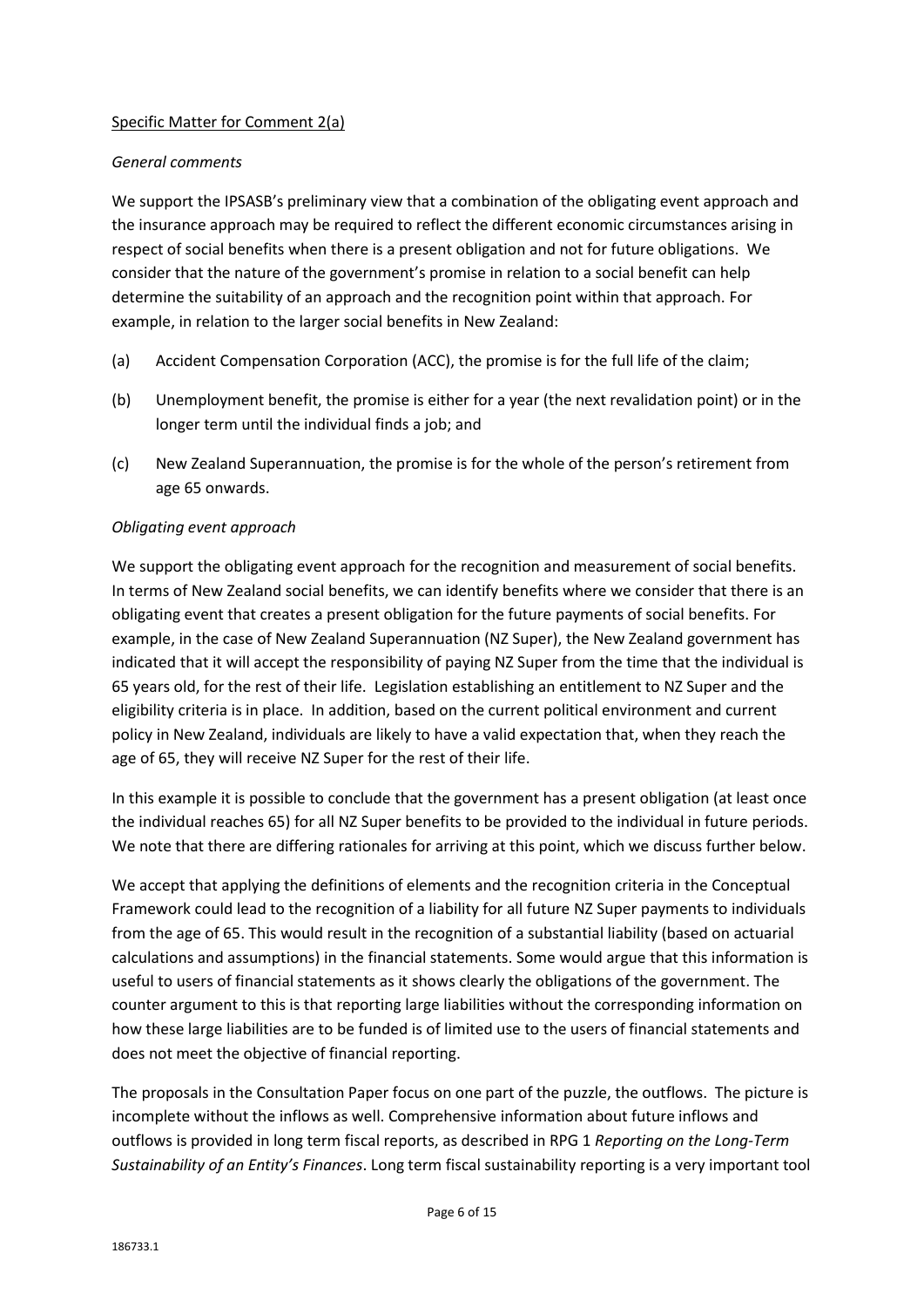## Specific Matter for Comment 2(a)

### *General comments*

We support the IPSASB's preliminary view that a combination of the obligating event approach and the insurance approach may be required to reflect the different economic circumstances arising in respect of social benefits when there is a present obligation and not for future obligations. We consider that the nature of the government's promise in relation to a social benefit can help determine the suitability of an approach and the recognition point within that approach. For example, in relation to the larger social benefits in New Zealand:

- (a) Accident Compensation Corporation (ACC), the promise is for the full life of the claim;
- (b) Unemployment benefit, the promise is either for a year (the next revalidation point) or in the longer term until the individual finds a job; and
- (c) New Zealand Superannuation, the promise is for the whole of the person's retirement from age 65 onwards.

# *Obligating event approach*

We support the obligating event approach for the recognition and measurement of social benefits. In terms of New Zealand social benefits, we can identify benefits where we consider that there is an obligating event that creates a present obligation for the future payments of social benefits. For example, in the case of New Zealand Superannuation (NZ Super), the New Zealand government has indicated that it will accept the responsibility of paying NZ Super from the time that the individual is 65 years old, for the rest of their life. Legislation establishing an entitlement to NZ Super and the eligibility criteria is in place. In addition, based on the current political environment and current policy in New Zealand, individuals are likely to have a valid expectation that, when they reach the age of 65, they will receive NZ Super for the rest of their life.

In this example it is possible to conclude that the government has a present obligation (at least once the individual reaches 65) for all NZ Super benefits to be provided to the individual in future periods. We note that there are differing rationales for arriving at this point, which we discuss further below.

We accept that applying the definitions of elements and the recognition criteria in the Conceptual Framework could lead to the recognition of a liability for all future NZ Super payments to individuals from the age of 65. This would result in the recognition of a substantial liability (based on actuarial calculations and assumptions) in the financial statements. Some would argue that this information is useful to users of financial statements as it shows clearly the obligations of the government. The counter argument to this is that reporting large liabilities without the corresponding information on how these large liabilities are to be funded is of limited use to the users of financial statements and does not meet the objective of financial reporting.

The proposals in the Consultation Paper focus on one part of the puzzle, the outflows. The picture is incomplete without the inflows as well. Comprehensive information about future inflows and outflows is provided in long term fiscal reports, as described in RPG 1 *Reporting on the Long-Term Sustainability of an Entity's Finances*. Long term fiscal sustainability reporting is a very important tool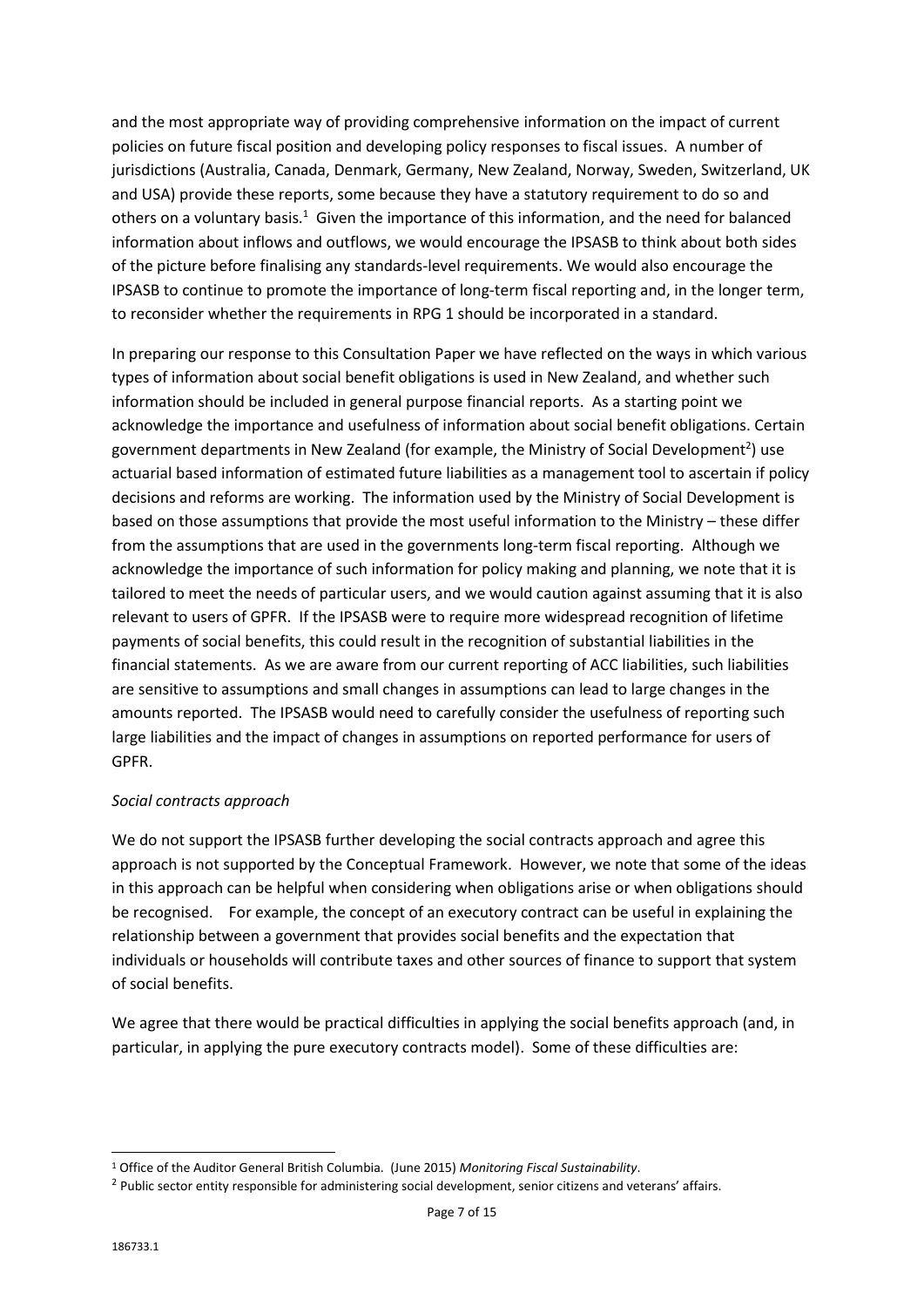and the most appropriate way of providing comprehensive information on the impact of current policies on future fiscal position and developing policy responses to fiscal issues. A number of jurisdictions (Australia, Canada, Denmark, Germany, New Zealand, Norway, Sweden, Switzerland, UK and USA) provide these reports, some because they have a statutory requirement to do so and others on a voluntary basis.<sup>1</sup> Given the importance of this information, and the need for balanced information about inflows and outflows, we would encourage the IPSASB to think about both sides of the picture before finalising any standards-level requirements. We would also encourage the IPSASB to continue to promote the importance of long-term fiscal reporting and, in the longer term, to reconsider whether the requirements in RPG 1 should be incorporated in a standard.

In preparing our response to this Consultation Paper we have reflected on the ways in which various types of information about social benefit obligations is used in New Zealand, and whether such information should be included in general purpose financial reports. As a starting point we acknowledge the importance and usefulness of information about social benefit obligations. Certain government departments in New Zealand (for example, the Ministry of Social Development<sup>2</sup>) use actuarial based information of estimated future liabilities as a management tool to ascertain if policy decisions and reforms are working. The information used by the Ministry of Social Development is based on those assumptions that provide the most useful information to the Ministry – these differ from the assumptions that are used in the governments long-term fiscal reporting. Although we acknowledge the importance of such information for policy making and planning, we note that it is tailored to meet the needs of particular users, and we would caution against assuming that it is also relevant to users of GPFR. If the IPSASB were to require more widespread recognition of lifetime payments of social benefits, this could result in the recognition of substantial liabilities in the financial statements. As we are aware from our current reporting of ACC liabilities, such liabilities are sensitive to assumptions and small changes in assumptions can lead to large changes in the amounts reported. The IPSASB would need to carefully consider the usefulness of reporting such large liabilities and the impact of changes in assumptions on reported performance for users of GPFR.

# *Social contracts approach*

We do not support the IPSASB further developing the social contracts approach and agree this approach is not supported by the Conceptual Framework. However, we note that some of the ideas in this approach can be helpful when considering when obligations arise or when obligations should be recognised. For example, the concept of an executory contract can be useful in explaining the relationship between a government that provides social benefits and the expectation that individuals or households will contribute taxes and other sources of finance to support that system of social benefits.

We agree that there would be practical difficulties in applying the social benefits approach (and, in particular, in applying the pure executory contracts model). Some of these difficulties are:

<sup>1</sup> <sup>1</sup> Office of the Auditor General British Columbia. (June 2015) *Monitoring Fiscal Sustainability*.

<sup>&</sup>lt;sup>2</sup> Public sector entity responsible for administering social development, senior citizens and veterans' affairs.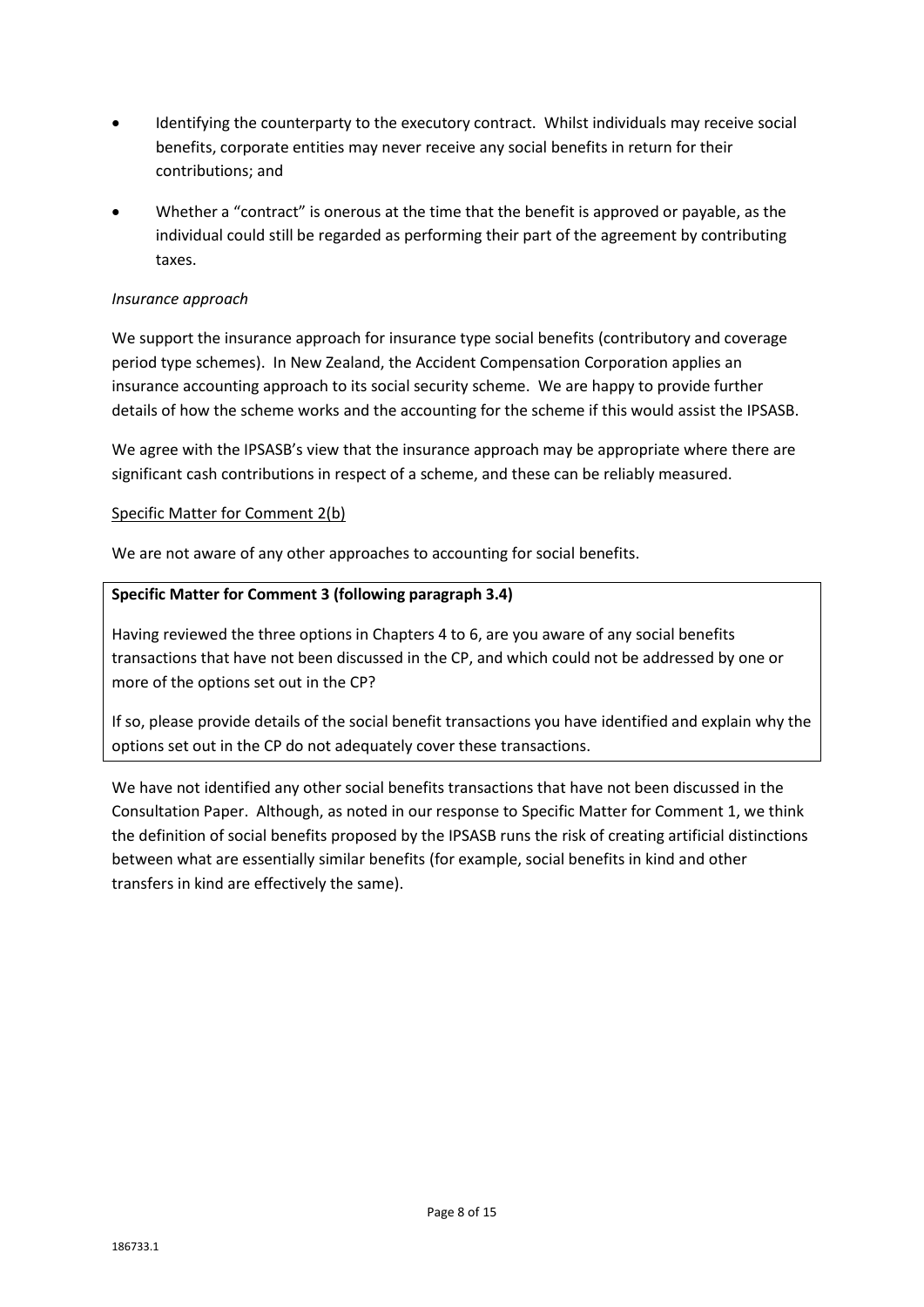- Identifying the counterparty to the executory contract. Whilst individuals may receive social benefits, corporate entities may never receive any social benefits in return for their contributions; and
- Whether a "contract" is onerous at the time that the benefit is approved or payable, as the individual could still be regarded as performing their part of the agreement by contributing taxes.

## *Insurance approach*

We support the insurance approach for insurance type social benefits (contributory and coverage period type schemes). In New Zealand, the Accident Compensation Corporation applies an insurance accounting approach to its social security scheme. We are happy to provide further details of how the scheme works and the accounting for the scheme if this would assist the IPSASB.

We agree with the IPSASB's view that the insurance approach may be appropriate where there are significant cash contributions in respect of a scheme, and these can be reliably measured.

## Specific Matter for Comment 2(b)

We are not aware of any other approaches to accounting for social benefits.

## **Specific Matter for Comment 3 (following paragraph 3.4)**

Having reviewed the three options in Chapters 4 to 6, are you aware of any social benefits transactions that have not been discussed in the CP, and which could not be addressed by one or more of the options set out in the CP?

If so, please provide details of the social benefit transactions you have identified and explain why the options set out in the CP do not adequately cover these transactions.

We have not identified any other social benefits transactions that have not been discussed in the Consultation Paper. Although, as noted in our response to Specific Matter for Comment 1, we think the definition of social benefits proposed by the IPSASB runs the risk of creating artificial distinctions between what are essentially similar benefits (for example, social benefits in kind and other transfers in kind are effectively the same).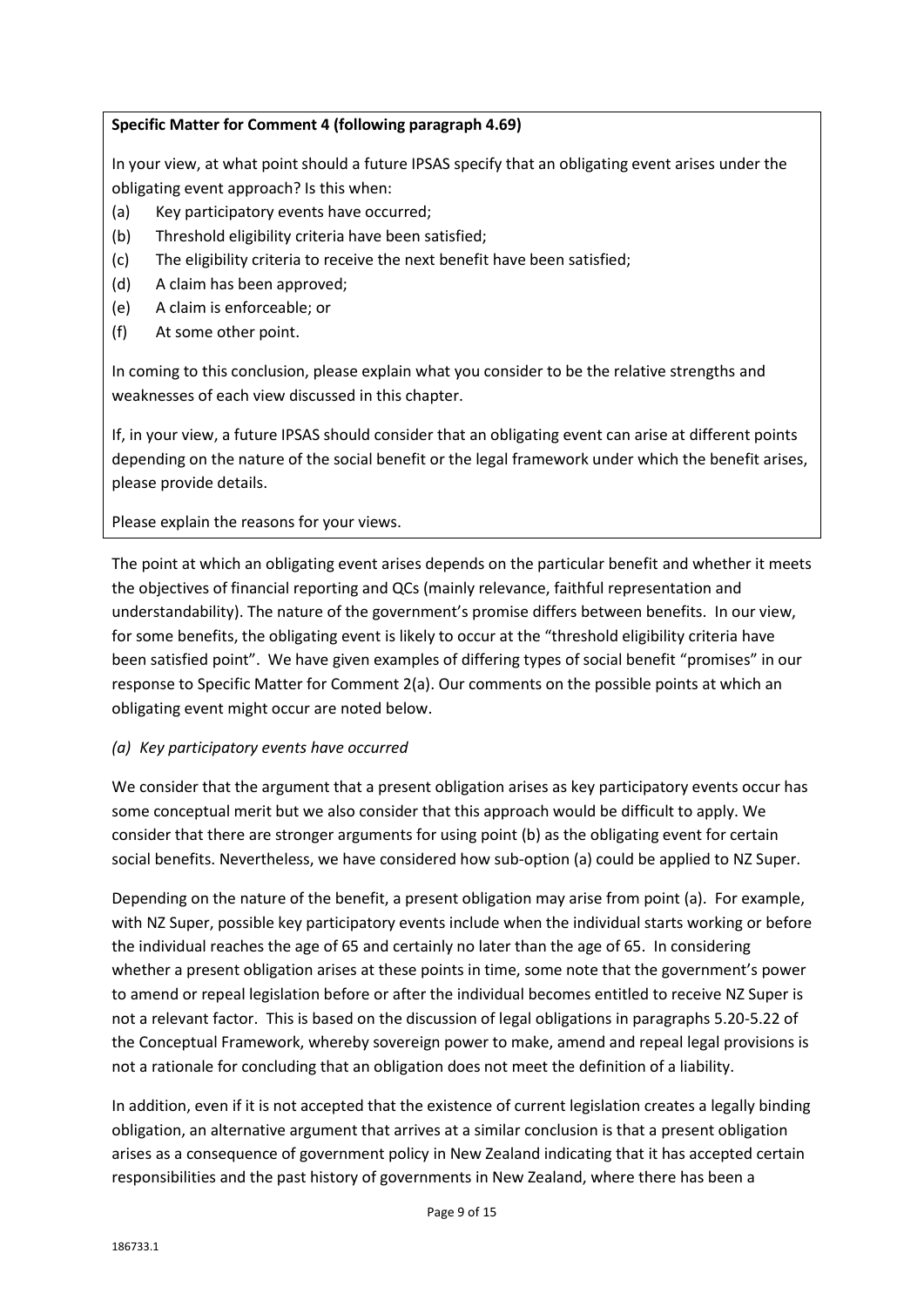## **Specific Matter for Comment 4 (following paragraph 4.69)**

In your view, at what point should a future IPSAS specify that an obligating event arises under the obligating event approach? Is this when:

- (a) Key participatory events have occurred;
- (b) Threshold eligibility criteria have been satisfied;
- (c) The eligibility criteria to receive the next benefit have been satisfied;
- (d) A claim has been approved;
- (e) A claim is enforceable; or
- (f) At some other point.

In coming to this conclusion, please explain what you consider to be the relative strengths and weaknesses of each view discussed in this chapter.

If, in your view, a future IPSAS should consider that an obligating event can arise at different points depending on the nature of the social benefit or the legal framework under which the benefit arises, please provide details.

Please explain the reasons for your views.

The point at which an obligating event arises depends on the particular benefit and whether it meets the objectives of financial reporting and QCs (mainly relevance, faithful representation and understandability). The nature of the government's promise differs between benefits. In our view, for some benefits, the obligating event is likely to occur at the "threshold eligibility criteria have been satisfied point". We have given examples of differing types of social benefit "promises" in our response to Specific Matter for Comment 2(a). Our comments on the possible points at which an obligating event might occur are noted below.

### *(a) Key participatory events have occurred*

We consider that the argument that a present obligation arises as key participatory events occur has some conceptual merit but we also consider that this approach would be difficult to apply. We consider that there are stronger arguments for using point (b) as the obligating event for certain social benefits. Nevertheless, we have considered how sub-option (a) could be applied to NZ Super.

Depending on the nature of the benefit, a present obligation may arise from point (a). For example, with NZ Super, possible key participatory events include when the individual starts working or before the individual reaches the age of 65 and certainly no later than the age of 65. In considering whether a present obligation arises at these points in time, some note that the government's power to amend or repeal legislation before or after the individual becomes entitled to receive NZ Super is not a relevant factor. This is based on the discussion of legal obligations in paragraphs 5.20-5.22 of the Conceptual Framework, whereby sovereign power to make, amend and repeal legal provisions is not a rationale for concluding that an obligation does not meet the definition of a liability.

In addition, even if it is not accepted that the existence of current legislation creates a legally binding obligation, an alternative argument that arrives at a similar conclusion is that a present obligation arises as a consequence of government policy in New Zealand indicating that it has accepted certain responsibilities and the past history of governments in New Zealand, where there has been a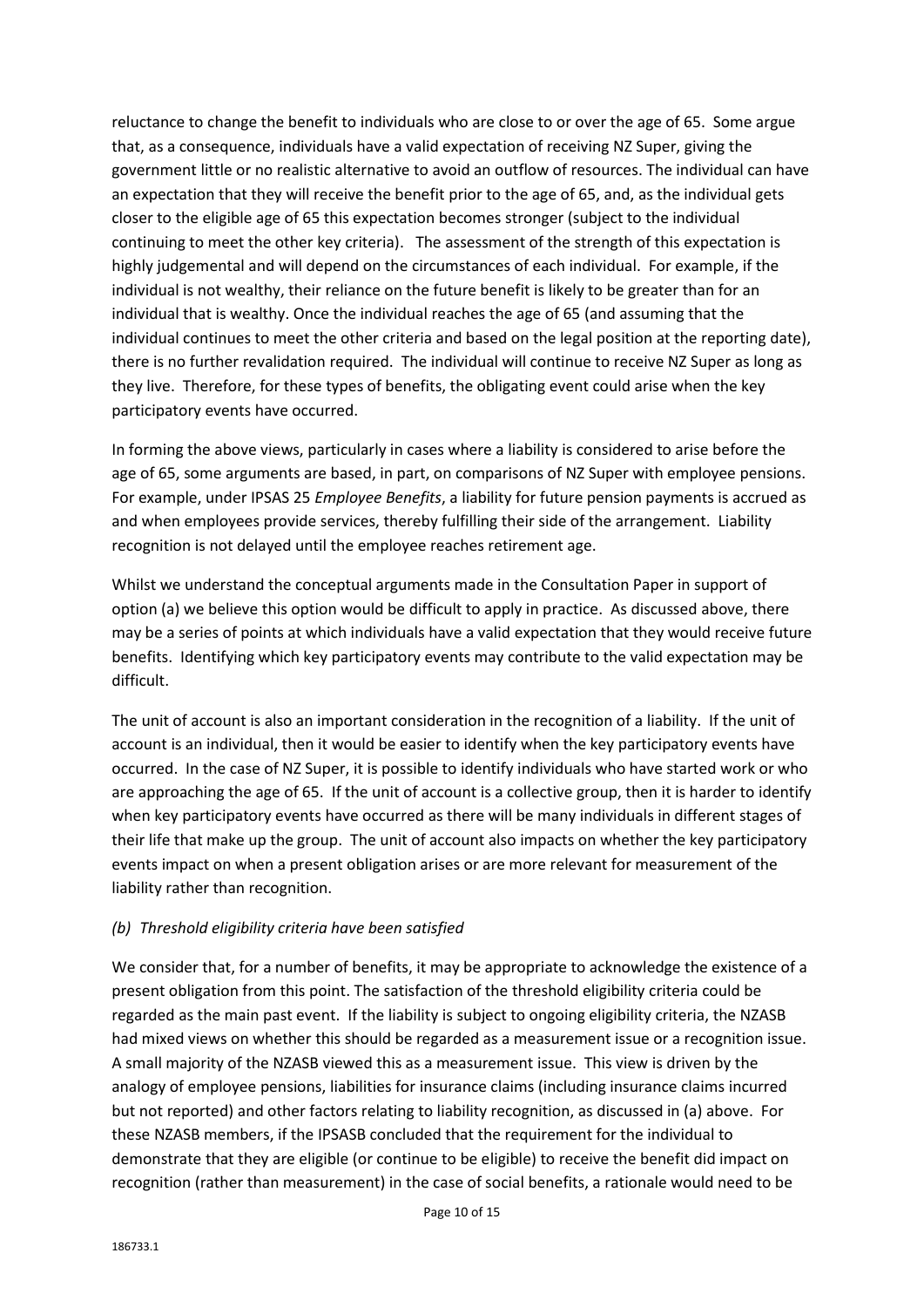reluctance to change the benefit to individuals who are close to or over the age of 65. Some argue that, as a consequence, individuals have a valid expectation of receiving NZ Super, giving the government little or no realistic alternative to avoid an outflow of resources. The individual can have an expectation that they will receive the benefit prior to the age of 65, and, as the individual gets closer to the eligible age of 65 this expectation becomes stronger (subject to the individual continuing to meet the other key criteria). The assessment of the strength of this expectation is highly judgemental and will depend on the circumstances of each individual. For example, if the individual is not wealthy, their reliance on the future benefit is likely to be greater than for an individual that is wealthy. Once the individual reaches the age of 65 (and assuming that the individual continues to meet the other criteria and based on the legal position at the reporting date), there is no further revalidation required. The individual will continue to receive NZ Super as long as they live. Therefore, for these types of benefits, the obligating event could arise when the key participatory events have occurred.

In forming the above views, particularly in cases where a liability is considered to arise before the age of 65, some arguments are based, in part, on comparisons of NZ Super with employee pensions. For example, under IPSAS 25 *Employee Benefits*, a liability for future pension payments is accrued as and when employees provide services, thereby fulfilling their side of the arrangement. Liability recognition is not delayed until the employee reaches retirement age.

Whilst we understand the conceptual arguments made in the Consultation Paper in support of option (a) we believe this option would be difficult to apply in practice. As discussed above, there may be a series of points at which individuals have a valid expectation that they would receive future benefits. Identifying which key participatory events may contribute to the valid expectation may be difficult.

The unit of account is also an important consideration in the recognition of a liability. If the unit of account is an individual, then it would be easier to identify when the key participatory events have occurred. In the case of NZ Super, it is possible to identify individuals who have started work or who are approaching the age of 65. If the unit of account is a collective group, then it is harder to identify when key participatory events have occurred as there will be many individuals in different stages of their life that make up the group. The unit of account also impacts on whether the key participatory events impact on when a present obligation arises or are more relevant for measurement of the liability rather than recognition.

# *(b) Threshold eligibility criteria have been satisfied*

We consider that, for a number of benefits, it may be appropriate to acknowledge the existence of a present obligation from this point. The satisfaction of the threshold eligibility criteria could be regarded as the main past event. If the liability is subject to ongoing eligibility criteria, the NZASB had mixed views on whether this should be regarded as a measurement issue or a recognition issue. A small majority of the NZASB viewed this as a measurement issue. This view is driven by the analogy of employee pensions, liabilities for insurance claims (including insurance claims incurred but not reported) and other factors relating to liability recognition, as discussed in (a) above. For these NZASB members, if the IPSASB concluded that the requirement for the individual to demonstrate that they are eligible (or continue to be eligible) to receive the benefit did impact on recognition (rather than measurement) in the case of social benefits, a rationale would need to be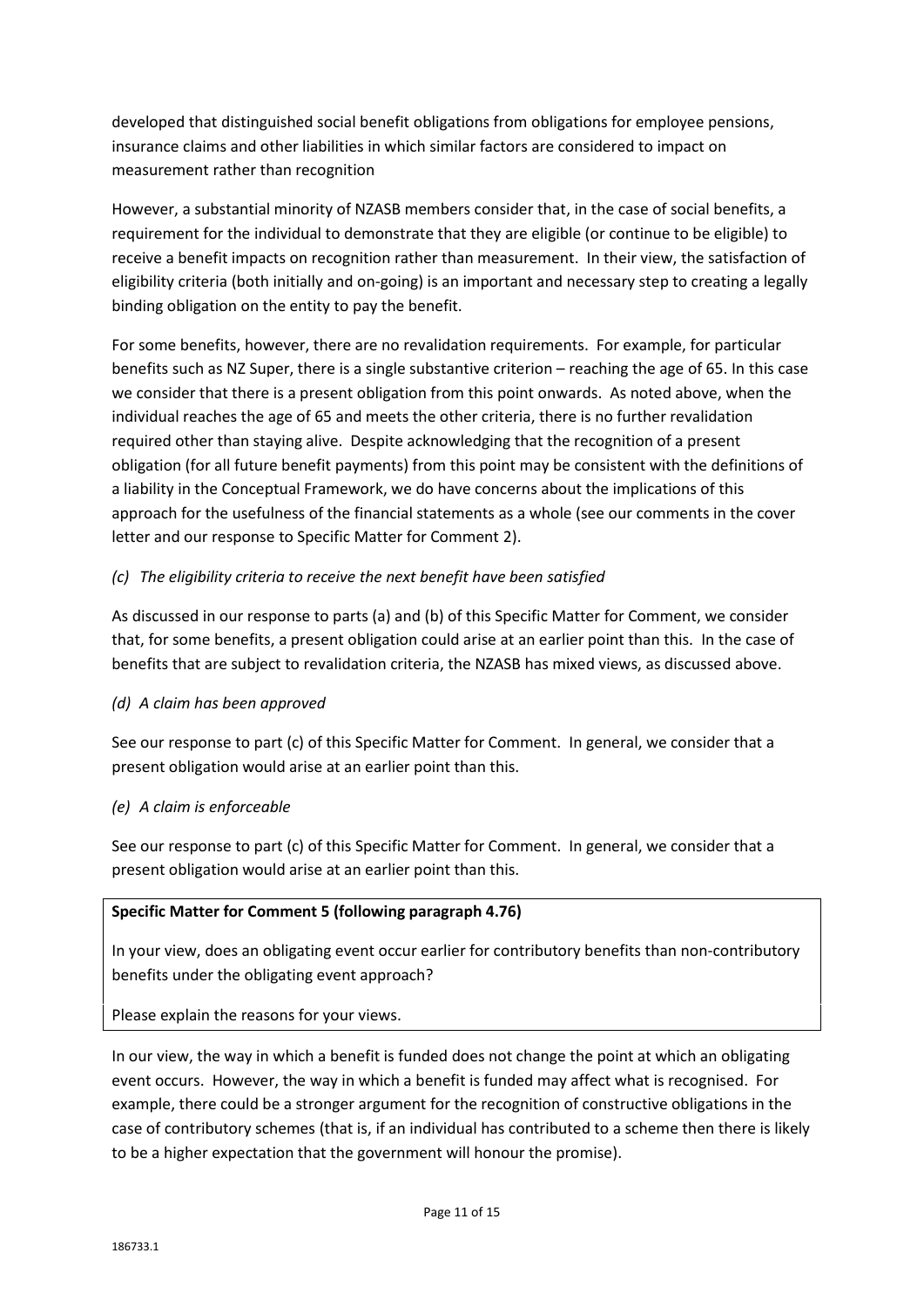developed that distinguished social benefit obligations from obligations for employee pensions, insurance claims and other liabilities in which similar factors are considered to impact on measurement rather than recognition

However, a substantial minority of NZASB members consider that, in the case of social benefits, a requirement for the individual to demonstrate that they are eligible (or continue to be eligible) to receive a benefit impacts on recognition rather than measurement. In their view, the satisfaction of eligibility criteria (both initially and on-going) is an important and necessary step to creating a legally binding obligation on the entity to pay the benefit.

For some benefits, however, there are no revalidation requirements. For example, for particular benefits such as NZ Super, there is a single substantive criterion – reaching the age of 65. In this case we consider that there is a present obligation from this point onwards. As noted above, when the individual reaches the age of 65 and meets the other criteria, there is no further revalidation required other than staying alive. Despite acknowledging that the recognition of a present obligation (for all future benefit payments) from this point may be consistent with the definitions of a liability in the Conceptual Framework, we do have concerns about the implications of this approach for the usefulness of the financial statements as a whole (see our comments in the cover letter and our response to Specific Matter for Comment 2).

# *(c) The eligibility criteria to receive the next benefit have been satisfied*

As discussed in our response to parts (a) and (b) of this Specific Matter for Comment, we consider that, for some benefits, a present obligation could arise at an earlier point than this. In the case of benefits that are subject to revalidation criteria, the NZASB has mixed views, as discussed above.

# *(d) A claim has been approved*

See our response to part (c) of this Specific Matter for Comment. In general, we consider that a present obligation would arise at an earlier point than this.

# *(e) A claim is enforceable*

See our response to part (c) of this Specific Matter for Comment. In general, we consider that a present obligation would arise at an earlier point than this.

# **Specific Matter for Comment 5 (following paragraph 4.76)**

In your view, does an obligating event occur earlier for contributory benefits than non-contributory benefits under the obligating event approach?

Please explain the reasons for your views.

In our view, the way in which a benefit is funded does not change the point at which an obligating event occurs. However, the way in which a benefit is funded may affect what is recognised. For example, there could be a stronger argument for the recognition of constructive obligations in the case of contributory schemes (that is, if an individual has contributed to a scheme then there is likely to be a higher expectation that the government will honour the promise).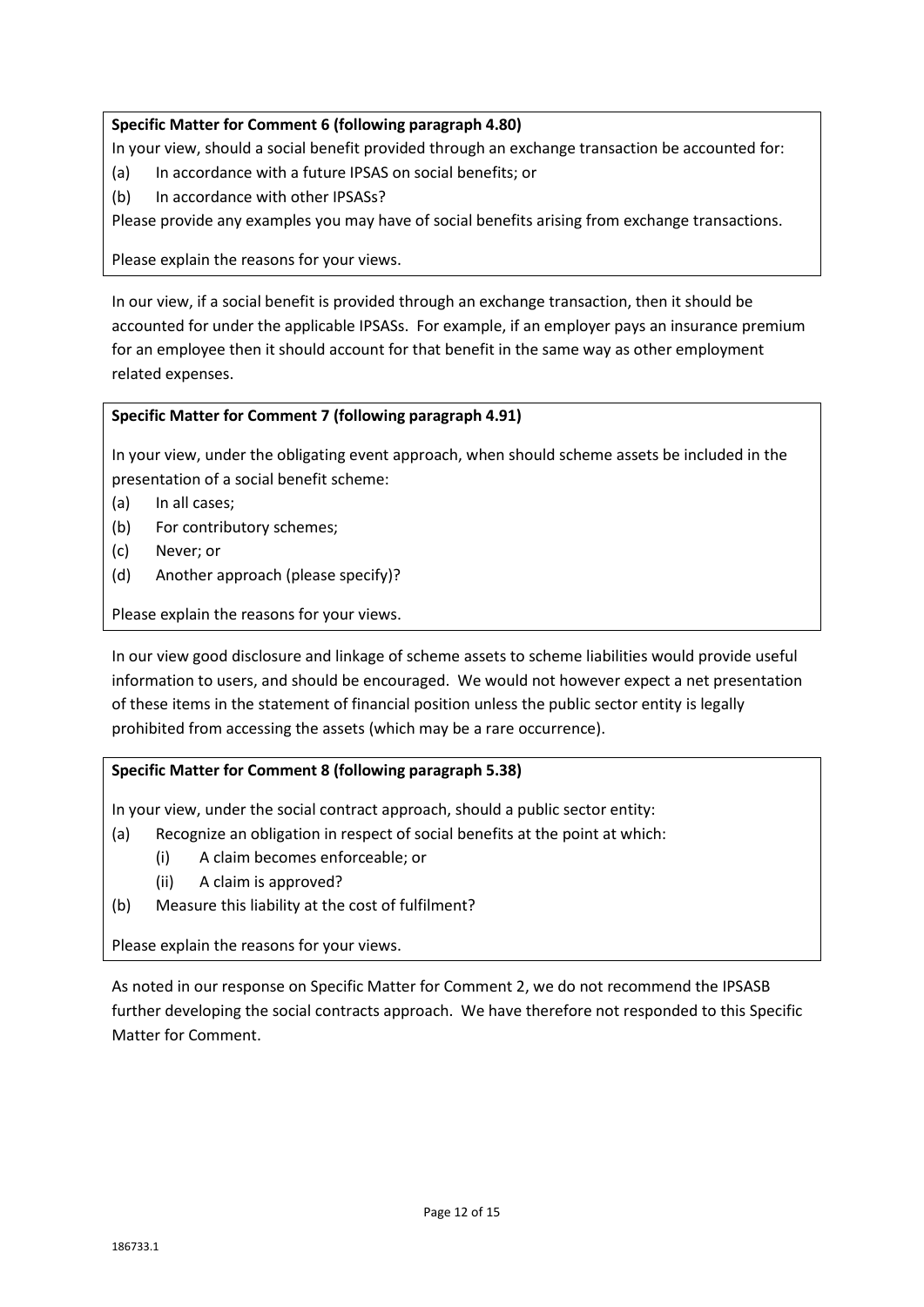# **Specific Matter for Comment 6 (following paragraph 4.80)**

In your view, should a social benefit provided through an exchange transaction be accounted for:

- (a) In accordance with a future IPSAS on social benefits; or
- (b) In accordance with other IPSASs?

Please provide any examples you may have of social benefits arising from exchange transactions.

Please explain the reasons for your views.

In our view, if a social benefit is provided through an exchange transaction, then it should be accounted for under the applicable IPSASs. For example, if an employer pays an insurance premium for an employee then it should account for that benefit in the same way as other employment related expenses.

## **Specific Matter for Comment 7 (following paragraph 4.91)**

In your view, under the obligating event approach, when should scheme assets be included in the presentation of a social benefit scheme:

- (a) In all cases;
- (b) For contributory schemes;
- (c) Never; or
- (d) Another approach (please specify)?

Please explain the reasons for your views.

In our view good disclosure and linkage of scheme assets to scheme liabilities would provide useful information to users, and should be encouraged. We would not however expect a net presentation of these items in the statement of financial position unless the public sector entity is legally prohibited from accessing the assets (which may be a rare occurrence).

### **Specific Matter for Comment 8 (following paragraph 5.38)**

In your view, under the social contract approach, should a public sector entity:

- (a) Recognize an obligation in respect of social benefits at the point at which:
	- (i) A claim becomes enforceable; or
	- (ii) A claim is approved?
- (b) Measure this liability at the cost of fulfilment?

Please explain the reasons for your views.

As noted in our response on Specific Matter for Comment 2, we do not recommend the IPSASB further developing the social contracts approach. We have therefore not responded to this Specific Matter for Comment.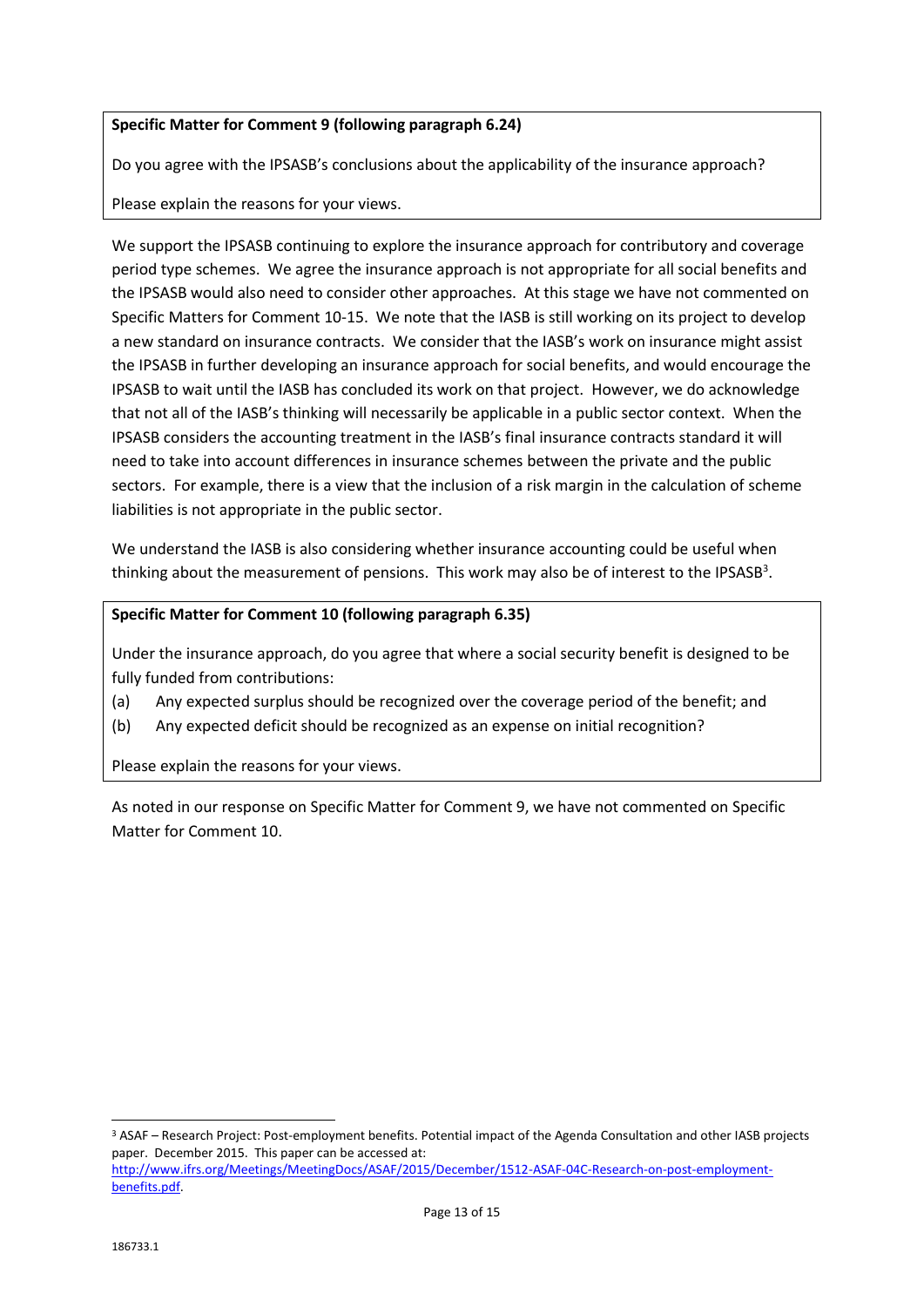## **Specific Matter for Comment 9 (following paragraph 6.24)**

Do you agree with the IPSASB's conclusions about the applicability of the insurance approach?

Please explain the reasons for your views.

We support the IPSASB continuing to explore the insurance approach for contributory and coverage period type schemes. We agree the insurance approach is not appropriate for all social benefits and the IPSASB would also need to consider other approaches. At this stage we have not commented on Specific Matters for Comment 10-15. We note that the IASB is still working on its project to develop a new standard on insurance contracts. We consider that the IASB's work on insurance might assist the IPSASB in further developing an insurance approach for social benefits, and would encourage the IPSASB to wait until the IASB has concluded its work on that project. However, we do acknowledge that not all of the IASB's thinking will necessarily be applicable in a public sector context. When the IPSASB considers the accounting treatment in the IASB's final insurance contracts standard it will need to take into account differences in insurance schemes between the private and the public sectors. For example, there is a view that the inclusion of a risk margin in the calculation of scheme liabilities is not appropriate in the public sector.

We understand the IASB is also considering whether insurance accounting could be useful when thinking about the measurement of pensions. This work may also be of interest to the IPSASB<sup>3</sup>.

## **Specific Matter for Comment 10 (following paragraph 6.35)**

Under the insurance approach, do you agree that where a social security benefit is designed to be fully funded from contributions:

- (a) Any expected surplus should be recognized over the coverage period of the benefit; and
- (b) Any expected deficit should be recognized as an expense on initial recognition?

Please explain the reasons for your views.

As noted in our response on Specific Matter for Comment 9, we have not commented on Specific Matter for Comment 10.

-

<sup>3</sup> ASAF – Research Project: Post-employment benefits. Potential impact of the Agenda Consultation and other IASB projects paper. December 2015. This paper can be accessed at:

[http://www.ifrs.org/Meetings/MeetingDocs/ASAF/2015/December/1512-ASAF-04C-Research-on-post-employment](http://www.ifrs.org/Meetings/MeetingDocs/ASAF/2015/December/1512-ASAF-04C-Research-on-post-employment-benefits.pdf)[benefits.pdf.](http://www.ifrs.org/Meetings/MeetingDocs/ASAF/2015/December/1512-ASAF-04C-Research-on-post-employment-benefits.pdf)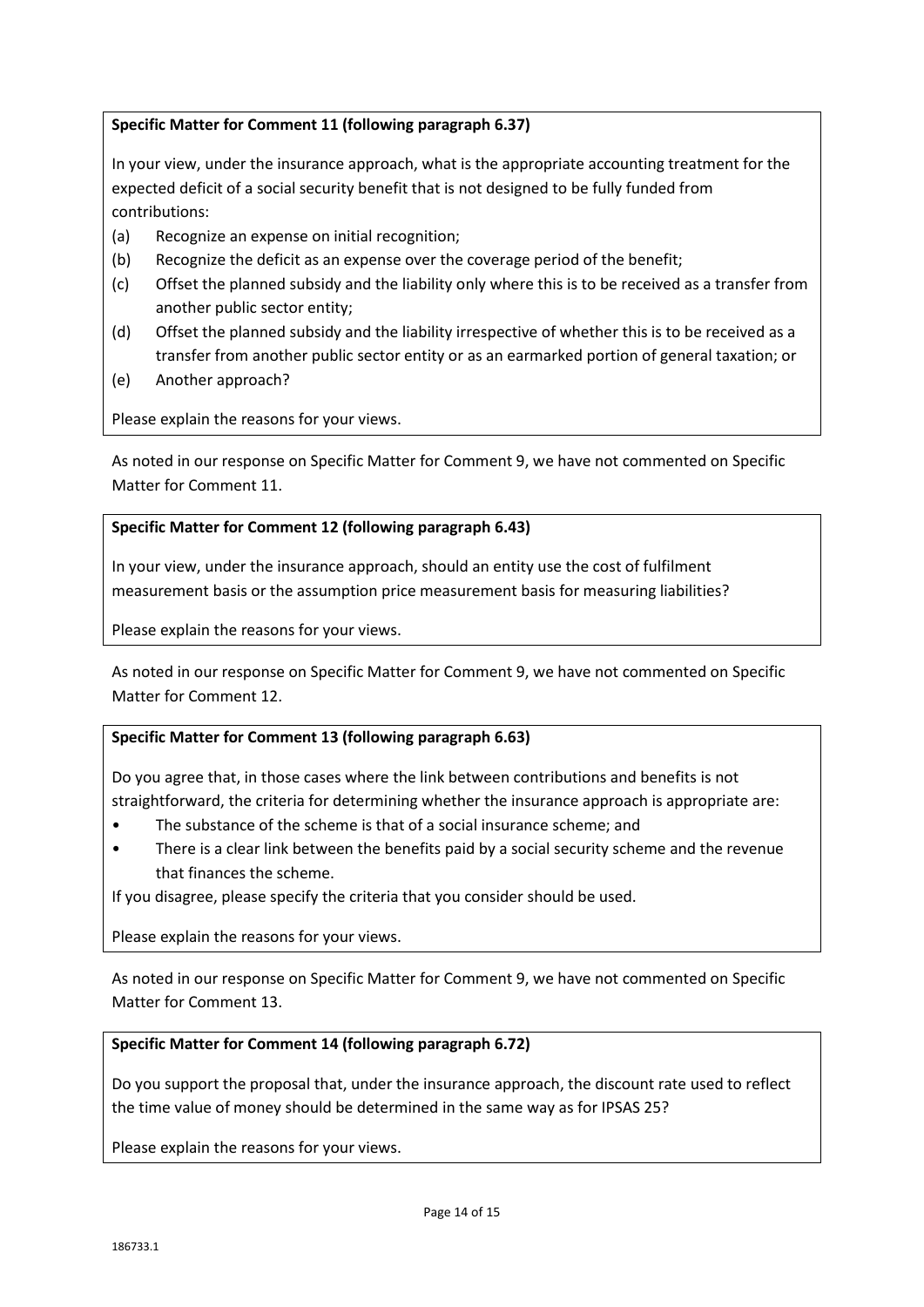# **Specific Matter for Comment 11 (following paragraph 6.37)**

In your view, under the insurance approach, what is the appropriate accounting treatment for the expected deficit of a social security benefit that is not designed to be fully funded from contributions:

- (a) Recognize an expense on initial recognition;
- (b) Recognize the deficit as an expense over the coverage period of the benefit;
- (c) Offset the planned subsidy and the liability only where this is to be received as a transfer from another public sector entity;
- (d) Offset the planned subsidy and the liability irrespective of whether this is to be received as a transfer from another public sector entity or as an earmarked portion of general taxation; or
- (e) Another approach?

Please explain the reasons for your views.

As noted in our response on Specific Matter for Comment 9, we have not commented on Specific Matter for Comment 11.

# **Specific Matter for Comment 12 (following paragraph 6.43)**

In your view, under the insurance approach, should an entity use the cost of fulfilment measurement basis or the assumption price measurement basis for measuring liabilities?

Please explain the reasons for your views.

As noted in our response on Specific Matter for Comment 9, we have not commented on Specific Matter for Comment 12.

# **Specific Matter for Comment 13 (following paragraph 6.63)**

Do you agree that, in those cases where the link between contributions and benefits is not straightforward, the criteria for determining whether the insurance approach is appropriate are:

- The substance of the scheme is that of a social insurance scheme; and
- There is a clear link between the benefits paid by a social security scheme and the revenue that finances the scheme.

If you disagree, please specify the criteria that you consider should be used.

Please explain the reasons for your views.

As noted in our response on Specific Matter for Comment 9, we have not commented on Specific Matter for Comment 13.

# **Specific Matter for Comment 14 (following paragraph 6.72)**

Do you support the proposal that, under the insurance approach, the discount rate used to reflect the time value of money should be determined in the same way as for IPSAS 25?

Please explain the reasons for your views.